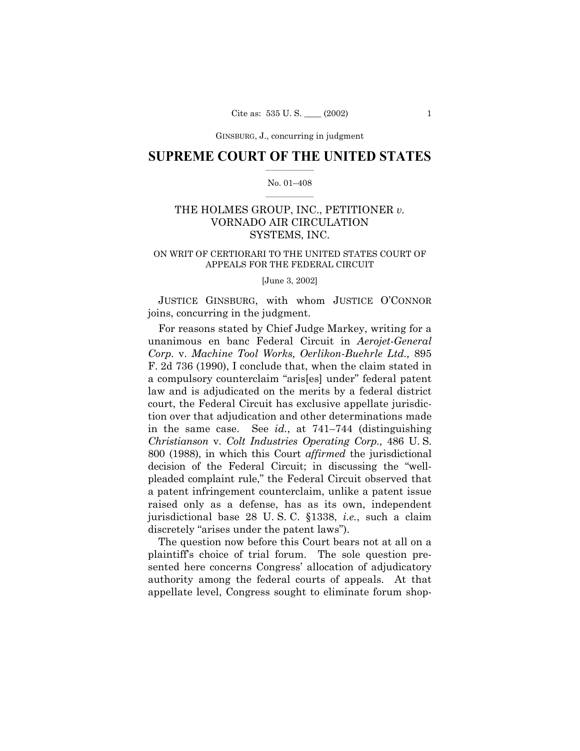GINSBURG, J., concurring in judgment

### **SUPREME COURT OF THE UNITED STATES**  $\mathcal{L}=\mathcal{L}^{\mathcal{L}}$

#### No. 01-408  $\frac{1}{2}$  , where  $\frac{1}{2}$

# THE HOLMES GROUP, INC., PETITIONER *v.* VORNADO AIR CIRCULATION SYSTEMS, INC.

### ON WRIT OF CERTIORARI TO THE UNITED STATES COURT OF APPEALS FOR THE FEDERAL CIRCUIT

[June 3, 2002]

JUSTICE GINSBURG, with whom JUSTICE O'CONNOR joins, concurring in the judgment.

For reasons stated by Chief Judge Markey, writing for a unanimous en banc Federal Circuit in *Aerojet-General Corp.* v. *Machine Tool Works, Oerlikon-Buehrle Ltd.,* 895 F. 2d 736 (1990), I conclude that, when the claim stated in a compulsory counterclaim "aris[es] under" federal patent law and is adjudicated on the merits by a federal district court, the Federal Circuit has exclusive appellate jurisdiction over that adjudication and other determinations made in the same case. See  $id$ , at  $741-744$  (distinguishing *Christianson* v. *Colt Industries Operating Corp.,* 486 U. S. 800 (1988), in which this Court *affirmed* the jurisdictional decision of the Federal Circuit; in discussing the "wellpleaded complaint rule," the Federal Circuit observed that a patent infringement counterclaim, unlike a patent issue raised only as a defense, has as its own, independent jurisdictional base 28 U. S. C. ß1338, *i.e.*, such a claim discretely "arises under the patent laws".

The question now before this Court bears not at all on a plaintiffís choice of trial forum. The sole question presented here concerns Congress' allocation of adjudicatory authority among the federal courts of appeals. At that appellate level, Congress sought to eliminate forum shop-